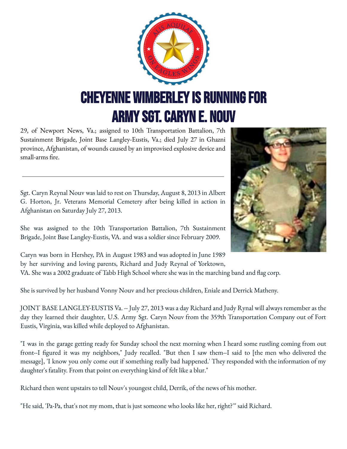

29, of Newport News, Va.; assigned to 10th Transportation Battalion, 7th Sustainment Brigade, Joint Base Langley-Eustis, Va.; died July 27 in Ghazni province, Afghanistan, of wounds caused by an improvised explosive device and small-arms fire.

Sgt. Caryn Reynal Nouv was laid to rest on Thursday, August 8, 2013 in Albert G. Horton, Jr. Veterans Memorial Cemetery after being killed in action in Afghanistan on Saturday July 27, 2013.

She was assigned to the 10th Transportation Battalion, 7th Sustainment Brigade, Joint Base Langley-Eustis, VA. and was a soldier since February 2009.



Caryn was born in Hershey, PA in August 1983 and was adopted in June 1989 by her surviving and loving parents, Richard and Judy Reynal of Yorktown, VA. She was a 2002 graduate of Tabb High School where she was in the marching band and flag corp.

She is survived by her husband Vonny Nouv and her precious children, Eniale and Derrick Matheny.

JOINT BASE LANGLEY-EUSTIS Va. -- July 27, 2013 was a day Richard and Judy Rynal will always remember as the day they learned their daughter, U.S. Army Sgt. Caryn Nouv from the 359th Transportation Company out of Fort Eustis, Virginia, was killed while deployed to Afghanistan.

"I was in the garage getting ready for Sunday school the next morning when I heard some rustling coming from out front--I figured it was my neighbors," Judy recalled. "But then I saw them--I said to [the men who delivered the message], 'I know you only come out if something really bad happened.' They responded with the information of my daughter's fatality. From that point on everything kind of felt like a blur."

Richard then went upstairs to tell Nouv's youngest child, Derrik, of the news of his mother.

"He said, 'Pa-Pa, that's not my mom, that is just someone who looks like her, right?'" said Richard.